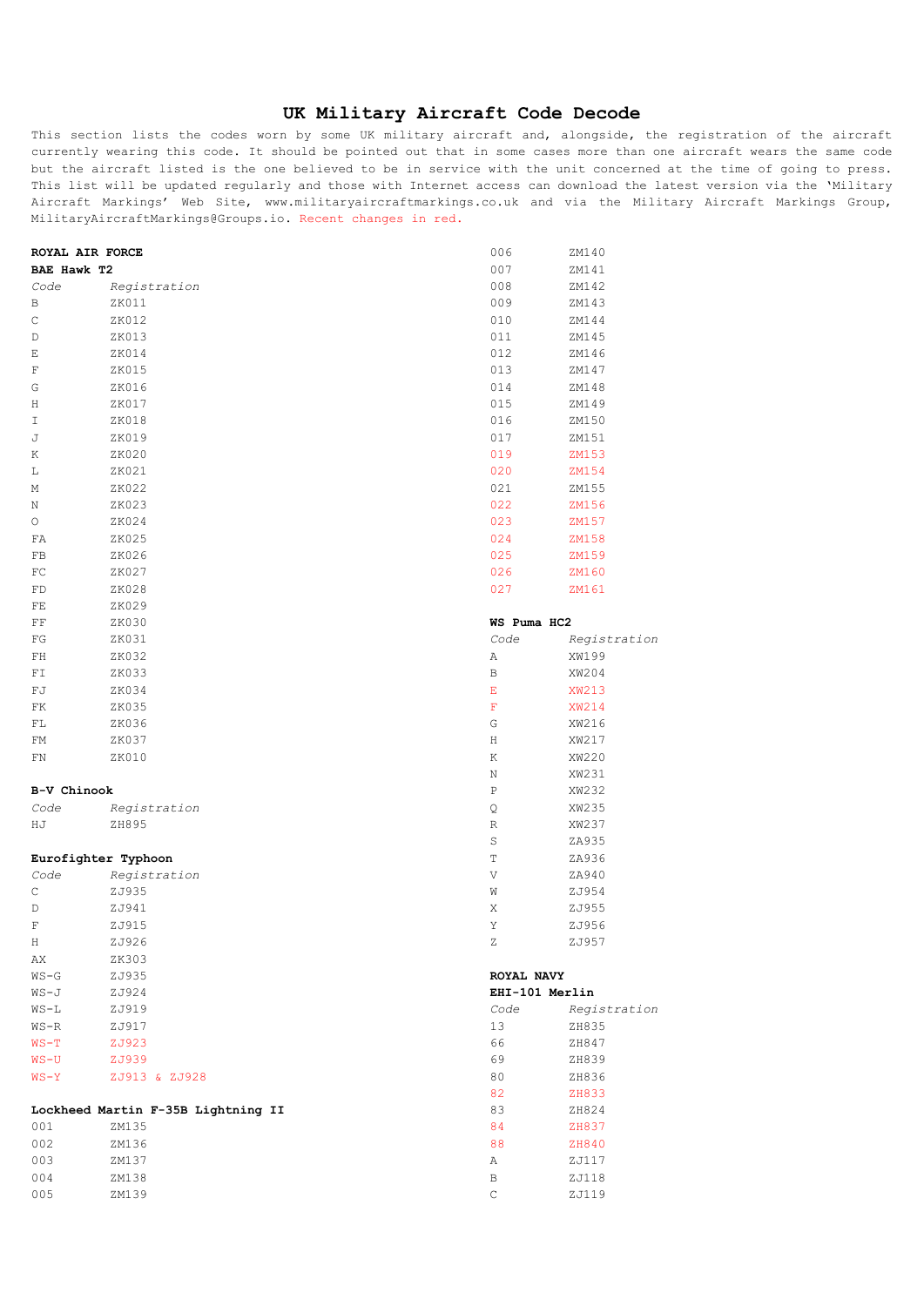## **UK Military Aircraft Code Decode**

This section lists the codes worn by some UK military aircraft and, alongside, the registration of the aircraft currently wearing this code. It should be pointed out that in some cases more than one aircraft wears the same code but the aircraft listed is the one believed to be in service with the unit concerned at the time of going to press. This list will be updated regularly and those with Internet access can download the latest version via the 'Military Aircraft Markings' Web Site, www.militaryaircraftmarkings.co.uk and via the Military Aircraft Markings Group, MilitaryAircraftMarkings@Groups.io. Recent changes in red.

| ROYAL AIR FORCE     |                                    | 006            | ZM140        |
|---------------------|------------------------------------|----------------|--------------|
| BAE Hawk T2         |                                    | 007            | ZM141        |
| Code                | Registration                       | 008            | ZM142        |
| В                   | ZK011                              | 009            | ZM143        |
| С                   | ZK012                              | 010            | ZM144        |
| D                   | ZK013                              | 011            | ZM145        |
| Ε                   | ZK014                              | 012            | ZM146        |
| F                   | ZK015                              | 013            | ZM147        |
| G                   | ZK016                              | 014            | ZM148        |
| Η                   | ZK017                              | 015            | ZM149        |
| Ι                   | ZK018                              | 016            | ZM150        |
| J                   | ZK019                              | 017            | ZM151        |
| Κ                   | ZK020                              | 019            | ZM153        |
| L                   | ZK021                              | 020            | ZM154        |
| М                   | ZK022                              | 021            | ZM155        |
|                     | ZK023                              | 022            | ZM156        |
| Ν<br>О              | ZK024                              | 023            | ZM157        |
|                     | ZK025                              | 024            | ZM158        |
| FA<br>FB            | ZK026                              | 025            | ZM159        |
|                     | ZK027                              | 026            |              |
| FC                  |                                    |                | ZM160        |
| FD                  | ZK028                              | 027            | ZM161        |
| FE                  | ZK029                              |                |              |
| FF                  | ZK030                              | WS Puma HC2    |              |
| FG                  | ZK031                              | Code           | Registration |
| FH                  | ZK032                              | Α              | XW199        |
| FI                  | ZK033                              | В              | XW204        |
| FJ                  | ZK034                              | Е              | XW213        |
| FK                  | ZK035                              | F              | XW214        |
| FL                  | ZK036                              | G              | XW216        |
| FM                  | ZK037                              | Η              | XW217        |
| FN                  | ZK010                              | Κ              | XW220        |
|                     |                                    | N              | XW231        |
| B-V Chinook         |                                    | Ρ              | XW232        |
| Code                | Registration                       | $\mathsf Q$    | XW235        |
| ΗJ                  | ZH895                              | R              | XW237        |
|                     |                                    | S              | ZA935        |
| Eurofighter Typhoon |                                    | Т              | ZA936        |
| Code                | Registration                       | V              | ZA940        |
| $\mathsf C$         | ZJ935                              | W              | ZJ954        |
| D                   | ZJ941                              | Χ              | ZJ955        |
| F                   | ZJ915                              | Υ              | ZJ956        |
| Η                   | ZJ926                              | Ζ              | ZJ957        |
| AX                  | ZK303                              |                |              |
| $WS-G$              | ZJ935                              | ROYAL NAVY     |              |
| WS-J                | ZJ924                              | EHI-101 Merlin |              |
| $WS-L$              | ZJ919                              | Code           | Registration |
| $WS-R$              | ZJ917                              | 13             | ZH835        |
| $WS-T$              | ZJ923                              | 66             | ZH847        |
| WS-U                | ZJ939                              | 69             | ZH839        |
| $WS - Y$            | ZJ913 & ZJ928                      | 80             | ZH836        |
|                     |                                    | 82             | ZH833        |
|                     | Lockheed Martin F-35B Lightning II | 83             | ZH824        |
| 001                 | ZM135                              | 84             | ZH837        |
| 002                 | ZM136                              | 88             | ZH840        |
| 003                 | ZM137                              | Α              | ZJ117        |
| 004                 | ZM138                              | В              | ZJ118        |
| 005                 | ZM139                              | $\mathsf C$    | ZJ119        |